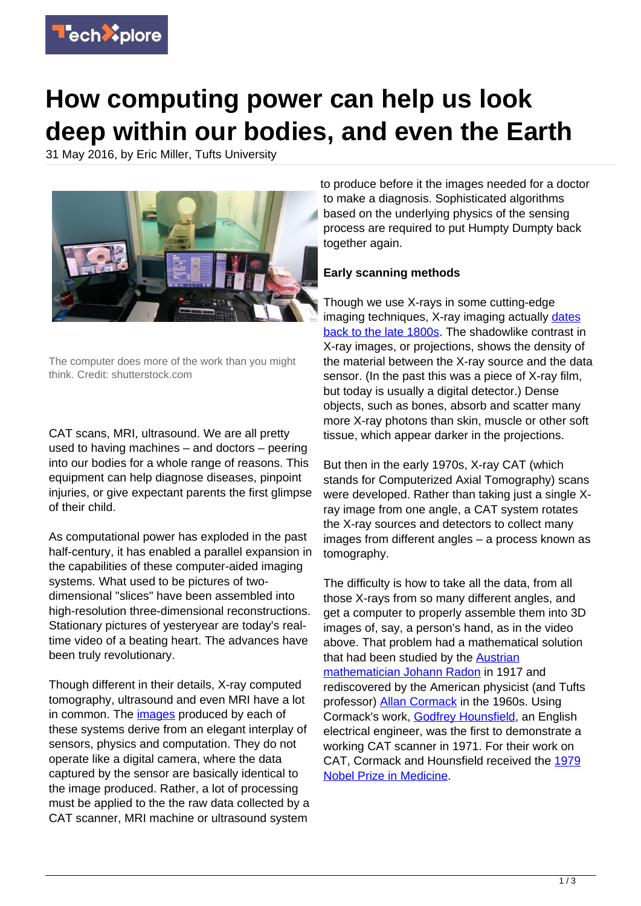

# **How computing power can help us look deep within our bodies, and even the Earth**

31 May 2016, by Eric Miller, Tufts University



The computer does more of the work than you might think. Credit: shutterstock.com

CAT scans, MRI, ultrasound. We are all pretty used to having machines – and doctors – peering into our bodies for a whole range of reasons. This equipment can help diagnose diseases, pinpoint injuries, or give expectant parents the first glimpse of their child.

As computational power has exploded in the past half-century, it has enabled a parallel expansion in the capabilities of these computer-aided imaging systems. What used to be pictures of twodimensional "slices" have been assembled into high-resolution three-dimensional reconstructions. Stationary pictures of yesteryear are today's realtime video of a beating heart. The advances have been truly revolutionary.

Though different in their details, X-ray computed tomography, ultrasound and even MRI have a lot in common. The *images* produced by each of these systems derive from an elegant interplay of sensors, physics and computation. They do not operate like a digital camera, where the data captured by the sensor are basically identical to the image produced. Rather, a lot of processing must be applied to the the raw data collected by a CAT scanner, MRI machine or ultrasound system

to produce before it the images needed for a doctor to make a diagnosis. Sophisticated algorithms based on the underlying physics of the sensing process are required to put Humpty Dumpty back together again.

## **Early scanning methods**

Though we use X-rays in some cutting-edge imaging techniques, X-ray imaging actually [dates](https://www.nde-ed.org/EducationResources/CommunityCollege/Radiography/Introduction/history.htm) [back to the late 1800s](https://www.nde-ed.org/EducationResources/CommunityCollege/Radiography/Introduction/history.htm). The shadowlike contrast in X-ray images, or projections, shows the density of the material between the X-ray source and the data sensor. (In the past this was a piece of X-ray film, but today is usually a digital detector.) Dense objects, such as bones, absorb and scatter many more X-ray photons than skin, muscle or other soft tissue, which appear darker in the projections.

But then in the early 1970s, X-ray CAT (which stands for Computerized Axial Tomography) scans were developed. Rather than taking just a single Xray image from one angle, a CAT system rotates the X-ray sources and detectors to collect many images from different angles – a process known as tomography.

The difficulty is how to take all the data, from all those X-rays from so many different angles, and get a computer to properly assemble them into 3D images of, say, a person's hand, as in the video above. That problem had a mathematical solution that had been studied by the [Austrian](https://thatsmaths.com/2013/03/07/ct-scans-and-the-radon-transform/) [mathematician Johann Radon](https://thatsmaths.com/2013/03/07/ct-scans-and-the-radon-transform/) in 1917 and rediscovered by the American physicist (and Tufts professor) [Allan Cormack](http://www.nytimes.com/1998/05/09/us/allan-cormack-74-nobelist-who-helped-invent-cat-scan.html) in the 1960s. Using Cormack's work, [Godfrey Hounsfield,](http://dx.doi.org/10.1148/radiol.2343042584) an English electrical engineer, was the first to demonstrate a working CAT scanner in 1971. For their work on CAT, Cormack and Hounsfield received the [1979](http://www.nobelprize.org/nobel_prizes/medicine/laureates/1979/) [Nobel Prize in Medicine](http://www.nobelprize.org/nobel_prizes/medicine/laureates/1979/).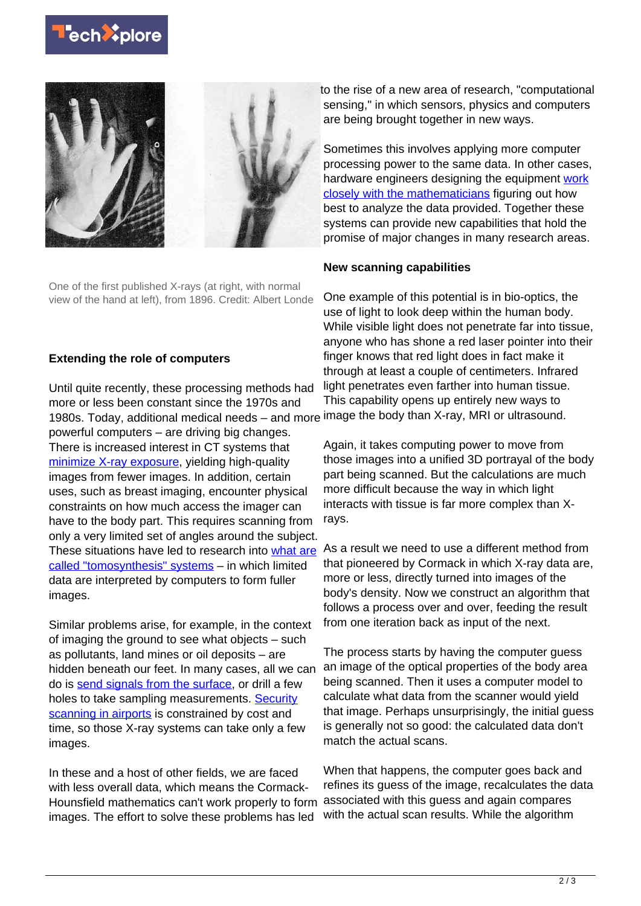



One of the first published X-rays (at right, with normal view of the hand at left), from 1896. Credit: Albert Londe

#### **Extending the role of computers**

Until quite recently, these processing methods had more or less been constant since the 1970s and 1980s. Today, additional medical needs – and more image the body than X-ray, MRI or ultrasound. powerful computers – are driving big changes. There is increased interest in CT systems that [minimize X-ray exposure](http://www.fda.gov/Radiation-EmittingProducts/RadiationEmittingProductsandProcedures/MedicalImaging/MedicalX-Rays/ucm115329.htm), yielding high-quality images from fewer images. In addition, certain uses, such as breast imaging, encounter physical constraints on how much access the imager can have to the body part. This requires scanning from only a very limited set of angles around the subject. These situations have led to research into [what are](http://www.massgeneral.org/imaging/services/3D_mammography_tomosynthesis.aspx) [called "tomosynthesis" systems](http://www.massgeneral.org/imaging/services/3D_mammography_tomosynthesis.aspx) – in which limited data are interpreted by computers to form fuller images.

Similar problems arise, for example, in the context of imaging the ground to see what objects – such as pollutants, land mines or oil deposits – are hidden beneath our feet. In many cases, all we can do is [send signals from the surface](http://physicsworld.com/cws/article/news/2016/feb/16/ground-penetrating-radar-boosts-asparagus-production), or drill a few holes to take sampling measurements. [Security](https://www.ncjrs.gov/school/ch3c_5.html) [scanning in airports](https://www.ncjrs.gov/school/ch3c_5.html) is constrained by cost and time, so those X-ray systems can take only a few images.

In these and a host of other fields, we are faced with less overall data, which means the Cormack-Hounsfield mathematics can't work properly to form images. The effort to solve these problems has led

to the rise of a new area of research, "computational sensing," in which sensors, physics and computers are being brought together in new ways.

Sometimes this involves applying more computer processing power to the same data. In other cases, hardware engineers designing the equipment [work](https://www.ecse.rpi.edu/homepages/saulnier/eit/eit.html) [closely with the mathematicians](https://www.ecse.rpi.edu/homepages/saulnier/eit/eit.html) figuring out how best to analyze the data provided. Together these systems can provide new capabilities that hold the promise of major changes in many research areas.

#### **New scanning capabilities**

One example of this potential is in bio-optics, the use of light to look deep within the human body. While visible light does not penetrate far into tissue, anyone who has shone a red laser pointer into their finger knows that red light does in fact make it through at least a couple of centimeters. Infrared light penetrates even farther into human tissue. This capability opens up entirely new ways to

Again, it takes computing power to move from those images into a unified 3D portrayal of the body part being scanned. But the calculations are much more difficult because the way in which light interacts with tissue is far more complex than Xrays.

As a result we need to use a different method from that pioneered by Cormack in which X-ray data are, more or less, directly turned into images of the body's density. Now we construct an algorithm that follows a process over and over, feeding the result from one iteration back as input of the next.

The process starts by having the computer guess an image of the optical properties of the body area being scanned. Then it uses a computer model to calculate what data from the scanner would yield that image. Perhaps unsurprisingly, the initial guess is generally not so good: the calculated data don't match the actual scans.

When that happens, the computer goes back and refines its guess of the image, recalculates the data associated with this guess and again compares with the actual scan results. While the algorithm